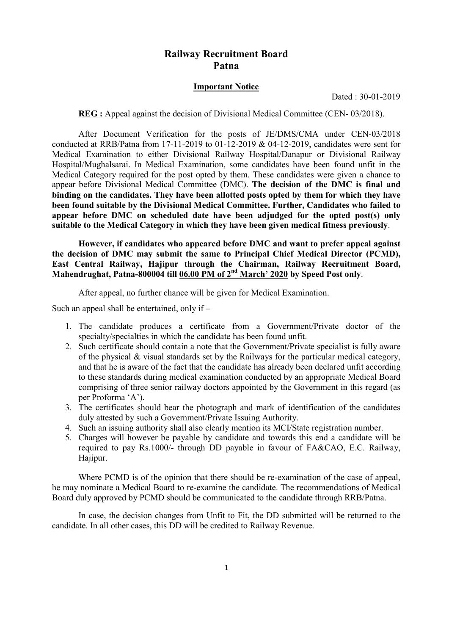# Railway Recruitment Board Patna

### Important Notice

#### Dated : 30-01-2019

REG : Appeal against the decision of Divisional Medical Committee (CEN- 03/2018).

 After Document Verification for the posts of JE/DMS/CMA under CEN-03/2018 conducted at RRB/Patna from 17-11-2019 to 01-12-2019 & 04-12-2019, candidates were sent for Medical Examination to either Divisional Railway Hospital/Danapur or Divisional Railway Hospital/Mughalsarai. In Medical Examination, some candidates have been found unfit in the Medical Category required for the post opted by them. These candidates were given a chance to appear before Divisional Medical Committee (DMC). The decision of the DMC is final and binding on the candidates. They have been allotted posts opted by them for which they have been found suitable by the Divisional Medical Committee. Further, Candidates who failed to appear before DMC on scheduled date have been adjudged for the opted post(s) only suitable to the Medical Category in which they have been given medical fitness previously.

However, if candidates who appeared before DMC and want to prefer appeal against the decision of DMC may submit the same to Principal Chief Medical Director (PCMD), East Central Railway, Hajipur through the Chairman, Railway Recruitment Board, Mahendrughat, Patna-800004 till 06.00 PM of 2nd March' 2020 by Speed Post only.

After appeal, no further chance will be given for Medical Examination.

Such an appeal shall be entertained, only if –

- 1. The candidate produces a certificate from a Government/Private doctor of the specialty/specialties in which the candidate has been found unfit.
- 2. Such certificate should contain a note that the Government/Private specialist is fully aware of the physical & visual standards set by the Railways for the particular medical category, and that he is aware of the fact that the candidate has already been declared unfit according to these standards during medical examination conducted by an appropriate Medical Board comprising of three senior railway doctors appointed by the Government in this regard (as per Proforma 'A').
- 3. The certificates should bear the photograph and mark of identification of the candidates duly attested by such a Government/Private Issuing Authority.
- 4. Such an issuing authority shall also clearly mention its MCI/State registration number.
- 5. Charges will however be payable by candidate and towards this end a candidate will be required to pay Rs.1000/- through DD payable in favour of FA&CAO, E.C. Railway, Hajipur.

 Where PCMD is of the opinion that there should be re-examination of the case of appeal, he may nominate a Medical Board to re-examine the candidate. The recommendations of Medical Board duly approved by PCMD should be communicated to the candidate through RRB/Patna.

 In case, the decision changes from Unfit to Fit, the DD submitted will be returned to the candidate. In all other cases, this DD will be credited to Railway Revenue.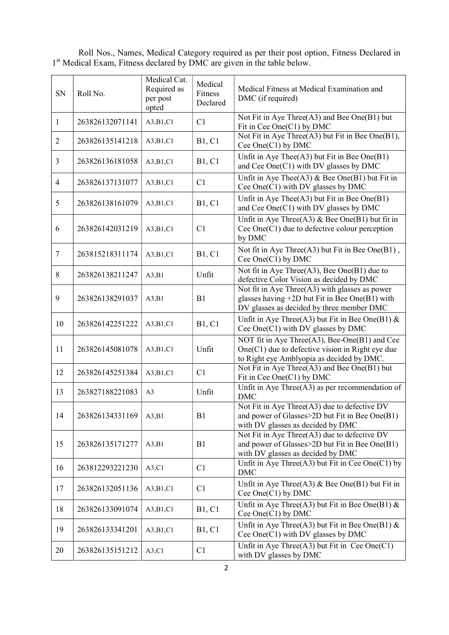Roll Nos., Names, Medical Category required as per their post option, Fitness Declared in 1<sup>st</sup> Medical Exam, Fitness declared by DMC are given in the table below.

| SN             | Roll No.        | Medical Cat.<br>Required as<br>per post<br>opted | Medical<br>Fitness<br>Declared | Medical Fitness at Medical Examination and<br>DMC (if required)                                                                                    |  |  |
|----------------|-----------------|--------------------------------------------------|--------------------------------|----------------------------------------------------------------------------------------------------------------------------------------------------|--|--|
| 1              | 263826132071141 | A3,B1,C1                                         | C1                             | Not Fit in Aye Three(A3) and Bee One(B1) but<br>Fit in Cee One(C1) by DMC                                                                          |  |  |
| $\overline{2}$ | 263826135141218 | A3,B1,C1                                         | <b>B1, C1</b>                  | Not Fit in Aye Three(A3) but Fit in Bee One(B1),<br>Cee One(C1) by DMC                                                                             |  |  |
| 3              | 263826136181058 | A3,B1,C1                                         | <b>B1, C1</b>                  | Unfit in Aye Thee $(A3)$ but Fit in Bee One $(B1)$<br>and Cee One(C1) with DV glasses by DMC                                                       |  |  |
| $\overline{4}$ | 263826137131077 | A3,B1,C1                                         | C1                             | Unfit in Aye Thee(A3) $\&$ Bee One(B1) but Fit in<br>Cee One(C1) with DV glasses by DMC                                                            |  |  |
| 5              | 263826138161079 | A3,B1,C1                                         | <b>B1, C1</b>                  | Unfit in Aye Thee(A3) but Fit in Bee One(B1)<br>and Cee One(C1) with DV glasses by DMC                                                             |  |  |
| 6              | 263826142031219 | A3,B1,C1                                         | C <sub>1</sub>                 | Unfit in Aye Three(A3) & Bee One(B1) but fit in<br>Cee One(C1) due to defective colour perception<br>by DMC                                        |  |  |
| $\tau$         | 263815218311174 | A3,B1,C1                                         | <b>B1, C1</b>                  | Not fit in Aye Three(A3) but Fit in Bee One(B1),<br>Cee One(C1) by DMC                                                                             |  |  |
| 8              | 263826138211247 | A3,B1                                            | Unfit                          | Not fit in Aye Three(A3), Bee One(B1) due to<br>defective Color Vision as decided by DMC                                                           |  |  |
| 9              | 263826138291037 | A3,B1                                            | B1                             | Not fit in Aye Three $(A3)$ with glasses as power<br>glasses having $+2D$ but Fit in Bee One(B1) with<br>DV glasses as decided by three member DMC |  |  |
| 10             | 263826142251222 | A3,B1,C1                                         | <b>B1, C1</b>                  | Unfit in Aye Three(A3) but Fit in Bee One(B1) $\&$<br>Cee One(C1) with DV glasses by DMC                                                           |  |  |
| 11             | 263826145081078 | A3,B1,C1                                         | Unfit                          | NOT fit in Aye Three(A3), Bee-One(B1) and Cee<br>$One(C1)$ due to defective vision in Right eye due<br>to Right eye Amblyopia as decided by DMC.   |  |  |
| 12             | 263826145251384 | A3,B1,C1                                         | C1                             | Not Fit in Aye Three(A3) and Bee One(B1) but<br>Fit in Cee One(C1) by DMC                                                                          |  |  |
| 13             | 263827188221083 | A <sub>3</sub>                                   | Unfit                          | Unfit in Aye Three $(A3)$ as per recommendation of<br><b>DMC</b>                                                                                   |  |  |
| 14             | 263826134331169 | A3,B1                                            | B1                             | Not Fit in Aye Three(A3) due to defective DV<br>and power of Glasses>2D but Fit in Bee One(B1)<br>with DV glasses as decided by DMC                |  |  |
| 15             | 263826135171277 | A3,B1                                            | B1                             | Not Fit in Aye Three(A3) due to defective DV<br>and power of Glasses>2D but Fit in Bee One(B1)<br>with DV glasses as decided by DMC                |  |  |
| 16             | 263812293221230 | A3,C1                                            | C1                             | Unfit in Aye Three(A3) but Fit in Cee One(C1) by<br><b>DMC</b>                                                                                     |  |  |
| 17             | 263826132051136 | A3,B1,C1                                         | C1                             | Unfit in Aye Three(A3) $\&$ Bee One(B1) but Fit in<br>Cee One(C1) by DMC                                                                           |  |  |
| 18             | 263826133091074 | A3,B1,C1                                         | B1, C1                         | Unfit in Aye Three(A3) but Fit in Bee One(B1) $\&$<br>Cee One $(C1)$ by DMC                                                                        |  |  |
| 19             | 263826133341201 | A3,B1,C1                                         | <b>B1, C1</b>                  | Unfit in Aye Three(A3) but Fit in Bee One(B1) $\&$<br>Cee One(C1) with DV glasses by DMC                                                           |  |  |
| 20             | 263826135151212 | A3, C1                                           | C <sub>1</sub>                 | Unfit in Aye Three(A3) but Fit in Cee One(C1)<br>with DV glasses by DMC                                                                            |  |  |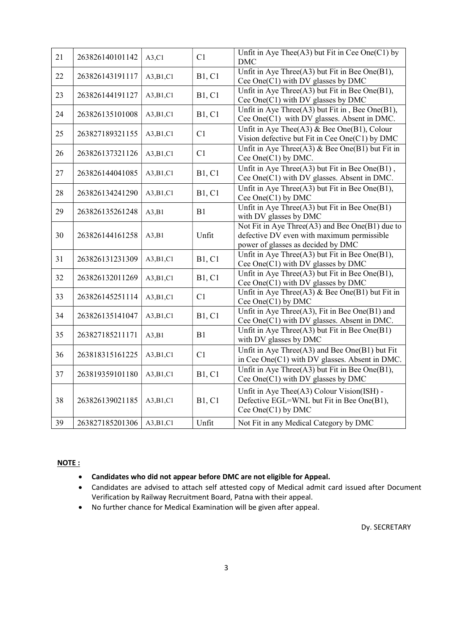| 21 | 263826140101142 | A3,C1    | C1            | Unfit in Aye Thee $(A3)$ but Fit in Cee One $(C1)$ by<br><b>DMC</b>                                                                 |
|----|-----------------|----------|---------------|-------------------------------------------------------------------------------------------------------------------------------------|
| 22 | 263826143191117 | A3,B1,C1 | <b>B1, C1</b> | Unfit in Aye Three(A3) but Fit in Bee One(B1),<br>Cee One(C1) with DV glasses by DMC                                                |
| 23 | 263826144191127 | A3,B1,C1 | <b>B1, C1</b> | Unfit in Aye Three(A3) but Fit in Bee One(B1),<br>Cee One(C1) with DV glasses by DMC                                                |
| 24 | 263826135101008 | A3,B1,C1 | <b>B1, C1</b> | Unfit in Aye Three(A3) but Fit in, Bee One(B1),<br>Cee One(C1) with DV glasses. Absent in DMC.                                      |
| 25 | 263827189321155 | A3,B1,C1 | C1            | Unfit in Aye Thee(A3) & Bee One(B1), Colour<br>Vision defective but Fit in Cee One(C1) by DMC                                       |
| 26 | 263826137321126 | A3,B1,C1 | C1            | Unfit in Aye Three(A3) & Bee One(B1) but Fit in<br>Cee One(C1) by DMC.                                                              |
| 27 | 263826144041085 | A3,B1,C1 | <b>B1, C1</b> | Unfit in Aye Three(A3) but Fit in Bee One(B1),<br>Cee One(C1) with DV glasses. Absent in DMC.                                       |
| 28 | 263826134241290 | A3,B1,C1 | <b>B1, C1</b> | Unfit in Aye Three(A3) but Fit in Bee One(B1),<br>Cee One(C1) by DMC                                                                |
| 29 | 263826135261248 | A3,B1    | B1            | Unfit in Aye Three(A3) but Fit in Bee One(B1)<br>with DV glasses by DMC                                                             |
| 30 | 263826144161258 | A3,B1    | Unfit         | Not Fit in Aye Three(A3) and Bee One(B1) due to<br>defective DV even with maximum permissible<br>power of glasses as decided by DMC |
| 31 | 263826131231309 | A3,B1,C1 | <b>B1, C1</b> | Unfit in Aye Three(A3) but Fit in Bee One(B1),<br>Cee One(C1) with DV glasses by DMC                                                |
| 32 | 263826132011269 | A3,B1,C1 | <b>B1, C1</b> | Unfit in Aye Three(A3) but Fit in Bee One(B1),<br>Cee One(C1) with DV glasses by DMC                                                |
| 33 | 263826145251114 | A3,B1,C1 | C1            | Unfit in Aye Three(A3) & Bee One(B1) but Fit in<br>Cee One(C1) by DMC                                                               |
| 34 | 263826135141047 | A3,B1,C1 | <b>B1, C1</b> | Unfit in Aye Three(A3), Fit in Bee One(B1) and<br>Cee One(C1) with DV glasses. Absent in DMC.                                       |
| 35 | 263827185211171 | A3,B1    | B1            | Unfit in Aye Three(A3) but Fit in Bee One(B1)<br>with DV glasses by DMC                                                             |
| 36 | 263818315161225 | A3,B1,C1 | C1            | Unfit in Aye Three(A3) and Bee One(B1) but Fit<br>in Cee One(C1) with DV glasses. Absent in DMC.                                    |
| 37 | 263819359101180 | A3,B1,C1 | <b>B1, C1</b> | Unfit in Aye Three(A3) but Fit in Bee One(B1),<br>Cee One(C1) with DV glasses by DMC                                                |
| 38 | 263826139021185 | A3,B1,C1 | <b>B1, C1</b> | Unfit in Aye Thee(A3) Colour Vision(ISH) -<br>Defective EGL=WNL but Fit in Bee One(B1),<br>Cee One(C1) by DMC                       |
| 39 | 263827185201306 | A3,B1,C1 | Unfit         | Not Fit in any Medical Category by DMC                                                                                              |

## NOTE :

- Candidates who did not appear before DMC are not eligible for Appeal.
- Candidates are advised to attach self attested copy of Medical admit card issued after Document Verification by Railway Recruitment Board, Patna with their appeal.
- No further chance for Medical Examination will be given after appeal.

Dy. SECRETARY